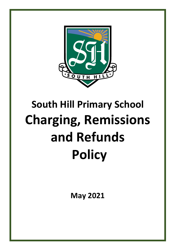

# **South Hill Primary School Charging, Remissions and Refunds Policy**

**May 2021**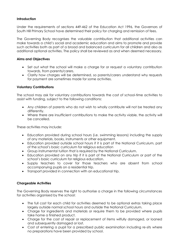# **Introduction**

Under the requirements of sections 449-462 of the Education Act 1996, the Governors of South Hill Primary School have determined their policy for charging and remission of fees.

The Governing Body recognises the valuable contribution that additional activities can make towards a child's social and academic education and aims to promote and provide such activities both as part of a broad and balanced curriculum for all children and also as additional optional activities. The policy shall be reviewed as and when deemed necessary.

# **Aims and Objectives**

- Set out what the school will make a charge for or request a voluntary contribution towards, from parents/carers.
- Clarity how charges will be determined, so parents/carers understand why requests for payment are sometimes made for some activities.

# **Voluntary Contributions**

The school may ask for voluntary contributions towards the cost of school-time activities to assist with funding, subject to the following conditions:

- Any children of parents who do not wish to wholly contribute will not be treated any differently.
- Where there are insufficient contributions to make the activity viable, the activity will be cancelled.

These activities may include:

- Education provided during school hours (i.e. swimming lessons) including the supply of any materials, books, instruments or other equipment.
- Education provided outside school hours if it is part of the National Curriculum, part of the school's basic curriculum for religious education
- Group instrumental tuition that is required by the National Curriculum.
- Education provided on any trip if it is part of the National Curriculum or part of the school's basic curriculum for religious education.
- Supply teachers to cover for those teachers who are absent from school accompanying pupils on a residential trip.
- Transport provided in connection with an educational trip.

# **Chargeable Activities**

The Governing Body reserves the right to authorise a charge in the following circumstances for activities organised by the school:

- The full cost for each child for activities deemed to be optional extras taking place largely outside normal school hours and outside the National Curriculum.
- Charge for ingredients and materials or require them to be provided where pupils take home a finished product.
- Charge for the cost of repair or replacement of items wilfully damaged, or loaned and subsequently damaged or lost.
- Cost of entering a pupil for a prescribed public examination including re-sits where no preparations have been provided by school.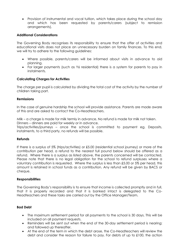Provision of instrumental and vocal tuition, which takes place during the school day and which has been requested by parents/carers (subject to remission arrangements).

# **Additional Considerations**

The Governing Body recognises its responsibility to ensure that the offer of activities and educational visits does not place an unnecessary burden on family finances. To this end, we will try to adhere to the following guidelines:

- Where possible, parents/carers will be informed about visits in advance to aid planning.
- For larger payments (such as Y6 residential) there is a system for parents to pay in instalments.

## **Calculating Charges for Activities**

The charge per pupil is calculated by dividing the total cost of the activity by the number of children taking part.

## **Remissions**

In the case of genuine hardship the school will provide assistance. Parents are made aware of this and are asked to contact the Co-Headteachers.

Milk – a charge is made for milk termly in advance. No refund is made for milk not taken. Dinners – dinners are paid for weekly or in advance.

Trips/activities/journeys – once the school is committed to payment eg. Deposits, instalments, to a third party, no refunds will be possible.

## **Refunds**

If there is a surplus of 5% (trips/activities) or £5.00 (residential school journey) or more of the contribution per head, a refund to the nearest full pound below should be offered as a refund. Where there is a surplus as listed above, the parents concerned will be contacted. Please note that there is no legal obligation for the school to refund surpluses where a voluntary contribution is requested. Where the surplus is less than £5.00 or 5% per head, this amount is retained in school funds as a contribution. Any refund will be given by BACS or cheque.

## **Responsibilities**

The Governing Body's responsibility is to ensure that income is collected promptly and in full, that it is properly recorded and that it is banked intact is delegated to the Co-Headteachers and these tasks are carried out by the Office Manager/Team.

## **Bad Debt**

- The maximum settlement period for all payments to the school is 30 days. This will be included on all payment requests.
- Reminders will be sent out when the end of the 30-day settlement period is nearing; and followed up thereafter.
- At the end of the term in which the debt arose, the Co-Headteachers will review the debt and consider the reason for failure to pay. For debts of up to £100, the action